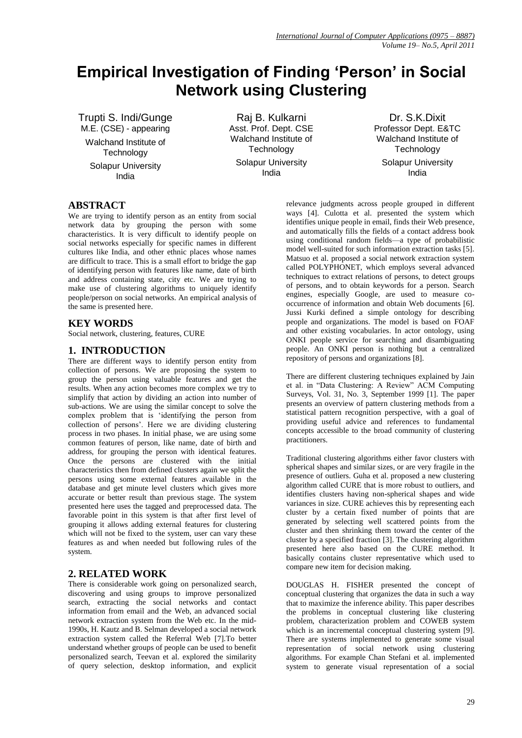# **Empirical Investigation of Finding 'Person' in Social Network using Clustering**

Trupti S. Indi/Gunge M.E. (CSE) - appearing Walchand Institute of **Technology** Solapur University India

Raj B. Kulkarni Asst. Prof. Dept. CSE Walchand Institute of **Technology** Solapur University India

Dr. S.K.Dixit Professor Dept. E&TC Walchand Institute of **Technology** Solapur University India

# **ABSTRACT**

We are trying to identify person as an entity from social network data by grouping the person with some characteristics. It is very difficult to identify people on social networks especially for specific names in different cultures like India, and other ethnic places whose names are difficult to trace. This is a small effort to bridge the gap of identifying person with features like name, date of birth and address containing state, city etc. We are trying to make use of clustering algorithms to uniquely identify people/person on social networks. An empirical analysis of the same is presented here.

# **KEY WORDS**

Social network, clustering, features, CURE

# **1. INTRODUCTION**

There are different ways to identify person entity from collection of persons. We are proposing the system to group the person using valuable features and get the results. When any action becomes more complex we try to simplify that action by dividing an action into number of sub-actions. We are using the similar concept to solve the complex problem that is 'identifying the person from collection of persons'. Here we are dividing clustering process in two phases. In initial phase, we are using some common features of person, like name, date of birth and address, for grouping the person with identical features. Once the persons are clustered with the initial characteristics then from defined clusters again we split the persons using some external features available in the database and get minute level clusters which gives more accurate or better result than previous stage. The system presented here uses the tagged and preprocessed data. The favorable point in this system is that after first level of grouping it allows adding external features for clustering which will not be fixed to the system, user can vary these features as and when needed but following rules of the system.

# **2. RELATED WORK**

There is considerable work going on personalized search, discovering and using groups to improve personalized search, extracting the social networks and contact information from email and the Web, an advanced social network extraction system from the Web etc. In the mid-1990s, H. Kautz and B. Selman developed a social network extraction system called the Referral Web [7].To better understand whether groups of people can be used to benefit personalized search, Teevan et al. explored the similarity of query selection, desktop information, and explicit relevance judgments across people grouped in different ways [4]. Culotta et al. presented the system which identifies unique people in email, finds their Web presence, and automatically fills the fields of a contact address book using conditional random fields—a type of probabilistic model well-suited for such information extraction tasks [5]. Matsuo et al. proposed a social network extraction system called POLYPHONET, which employs several advanced techniques to extract relations of persons, to detect groups of persons, and to obtain keywords for a person. Search engines, especially Google, are used to measure cooccurrence of information and obtain Web documents [6]. Jussi Kurki defined a simple ontology for describing people and organizations. The model is based on FOAF and other existing vocabularies. In actor ontology, using ONKI people service for searching and disambiguating people. An ONKI person is nothing but a centralized repository of persons and organizations [8].

There are different clustering techniques explained by Jain et al. in "Data Clustering: A Review" ACM Computing Surveys, Vol. 31, No. 3, September 1999 [1]. The paper presents an overview of pattern clustering methods from a statistical pattern recognition perspective, with a goal of providing useful advice and references to fundamental concepts accessible to the broad community of clustering practitioners.

Traditional clustering algorithms either favor clusters with spherical shapes and similar sizes, or are very fragile in the presence of outliers. Guha et al. proposed a new clustering algorithm called CURE that is more robust to outliers, and identifies clusters having non-spherical shapes and wide variances in size. CURE achieves this by representing each cluster by a certain fixed number of points that are generated by selecting well scattered points from the cluster and then shrinking them toward the center of the cluster by a specified fraction [3]. The clustering algorithm presented here also based on the CURE method. It basically contains cluster representative which used to compare new item for decision making.

DOUGLAS H. FISHER presented the concept of conceptual clustering that organizes the data in such a way that to maximize the inference ability. This paper describes the problems in conceptual clustering like clustering problem, characterization problem and COWEB system which is an incremental conceptual clustering system [9]. There are systems implemented to generate some visual representation of social network using clustering algorithms. For example Chan Stefani et al. implemented system to generate visual representation of a social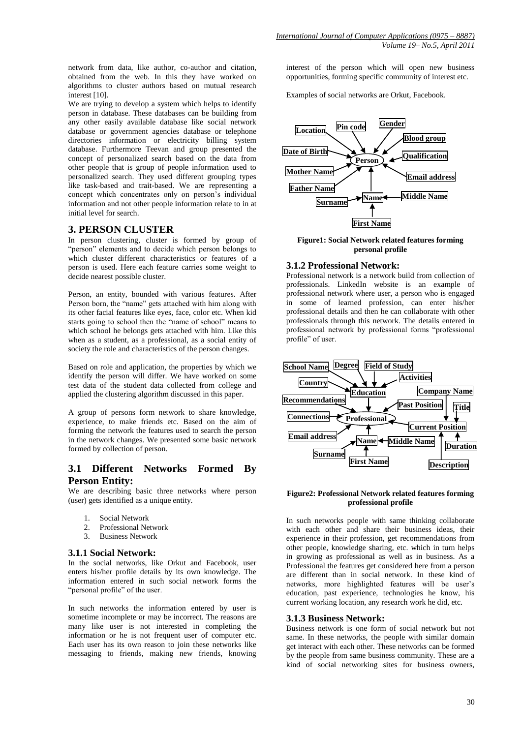network from data, like author, co-author and citation, obtained from the web. In this they have worked on algorithms to cluster authors based on mutual research interest [10].

We are trying to develop a system which helps to identify person in database. These databases can be building from any other easily available database like social network database or government agencies database or telephone directories information or electricity billing system database. Furthermore Teevan and group presented the concept of personalized search based on the data from other people that is group of people information used to personalized search. They used different grouping types like task-based and trait-based. We are representing a concept which concentrates only on person's individual information and not other people information relate to in at initial level for search.

# **3. PERSON CLUSTER**

In person clustering, cluster is formed by group of "person" elements and to decide which person belongs to which cluster different characteristics or features of a person is used. Here each feature carries some weight to decide nearest possible cluster.

Person, an entity, bounded with various features. After Person born, the "name" gets attached with him along with its other facial features like eyes, face, color etc. When kid starts going to school then the "name of school" means to which school he belongs gets attached with him. Like this when as a student, as a professional, as a social entity of society the role and characteristics of the person changes.

Based on role and application, the properties by which we identify the person will differ. We have worked on some test data of the student data collected from college and applied the clustering algorithm discussed in this paper.

A group of persons form network to share knowledge, experience, to make friends etc. Based on the aim of forming the network the features used to search the person in the network changes. We presented some basic network formed by collection of person.

# **3.1 Different Networks Formed By Person Entity:**

We are describing basic three networks where person (user) gets identified as a unique entity.

- 1. Social Network
- 2. Professional Network<br>3. Business Network
- 3. Business Network

#### **3.1.1 Social Network:**

In the social networks, like Orkut and Facebook, user enters his/her profile details by its own knowledge. The information entered in such social network forms the "personal profile" of the user.

In such networks the information entered by user is sometime incomplete or may be incorrect. The reasons are many like user is not interested in completing the information or he is not frequent user of computer etc. Each user has its own reason to join these networks like messaging to friends, making new friends, knowing interest of the person which will open new business opportunities, forming specific community of interest etc.

Examples of social networks are Orkut, Facebook.



**Figure1: Social Network related features forming personal profile**

#### **3.1.2 Professional Network:**

Professional network is a network build from collection of professionals. LinkedIn website is an example of professional network where user, a person who is engaged in some of learned profession, can enter his/her professional details and then he can collaborate with other professionals through this network. The details entered in professional network by professional forms "professional profile" of user.



#### **Figure2: Professional Network related features forming professional profile**

In such networks people with same thinking collaborate with each other and share their business ideas, their experience in their profession, get recommendations from other people, knowledge sharing, etc. which in turn helps in growing as professional as well as in business. As a Professional the features get considered here from a person are different than in social network. In these kind of networks, more highlighted features will be user's education, past experience, technologies he know, his current working location, any research work he did, etc.

#### **3.1.3 Business Network:**

Business network is one form of social network but not same. In these networks, the people with similar domain get interact with each other. These networks can be formed by the people from same business community. These are a kind of social networking sites for business owners,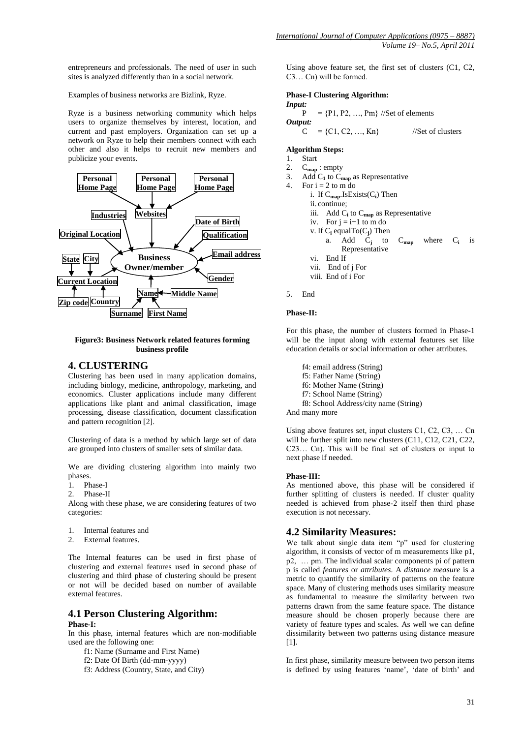entrepreneurs and professionals. The need of user in such sites is analyzed differently than in a social network.

Examples of business networks are Bizlink, Ryze.

Ryze is a business networking community which helps users to organize themselves by interest, location, and current and past employers. Organization can set up a network on Ryze to help their members connect with each other and also it helps to recruit new members and publicize your events.



#### **Figure3: Business Network related features forming business profile**

## **4. CLUSTERING**

Clustering has been used in many application domains, including biology, medicine, anthropology, marketing, and economics. Cluster applications include many different applications like plant and animal classification, image processing, disease classification, document classification and pattern recognition [2].

Clustering of data is a method by which large set of data are grouped into clusters of smaller sets of similar data.

We are dividing clustering algorithm into mainly two phases.

- 1. Phase-I
- 2. Phase-II

Along with these phase, we are considering features of two categories:

- 1. Internal features and
- 2. External features.

The Internal features can be used in first phase of clustering and external features used in second phase of clustering and third phase of clustering should be present or not will be decided based on number of available external features.

#### **4.1 Person Clustering Algorithm: Phase-I:**

In this phase, internal features which are non-modifiable used are the following one:

- f1: Name (Surname and First Name)
- f2: Date Of Birth (dd-mm-yyyy)
- f3: Address (Country, State, and City)

Using above feature set, the first set of clusters (C1, C2, C3… Cn) will be formed.

#### **Phase-I Clustering Algorithm:**

*Input:*  $P = {P1, P2, ..., Pm}$  //Set of elements *Output:*  $C = \{C1, C2, ..., Kn\}$  //Set of clusters

#### **Algorithm Steps:**

- 1. Start
- 2. C**map** : empty
- 3. Add  $C_1$  to  $C_{\text{map}}$  as Representative
- 4. For  $i = 2$  to m do
	- i. If C**map**.IsExists(C**<sup>i</sup>** ) Then ii. continue;
	- iii. Add C**<sup>i</sup>** to C**map** as Representative
	- iv. For  $j = i+1$  to m do
	- v. If C**<sup>i</sup>** equalTo(C**<sup>j</sup>** ) Then
		- a. Add  $\dot{C}_j$  to to  $C_{\text{map}}$  where  $C_i$  is Representative
	- vi. End If
	- vii. End of j For
	- viii. End of i For
- 5. End

#### **Phase-II:**

For this phase, the number of clusters formed in Phase-1 will be the input along with external features set like education details or social information or other attributes.

- f4: email address (String)
- f5: Father Name (String)
- f6: Mother Name (String)
- f7: School Name (String)
- f8: School Address/city name (String)

And many more

Using above features set, input clusters C1, C2, C3, … Cn will be further split into new clusters (C11, C12, C21, C22, C23… Cn). This will be final set of clusters or input to next phase if needed.

#### **Phase-III:**

As mentioned above, this phase will be considered if further splitting of clusters is needed. If cluster quality needed is achieved from phase-2 itself then third phase execution is not necessary.

### **4.2 Similarity Measures:**

We talk about single data item "p" used for clustering algorithm, it consists of vector of m measurements like p1, p2, … pm. The individual scalar components pi of pattern p is called *features* or *attributes*. A *distance measure* is a metric to quantify the similarity of patterns on the feature space. Many of clustering methods uses similarity measure as fundamental to measure the similarity between two patterns drawn from the same feature space. The distance measure should be chosen properly because there are variety of feature types and scales. As well we can define dissimilarity between two patterns using distance measure [11].

In first phase, similarity measure between two person items is defined by using features 'name', 'date of birth' and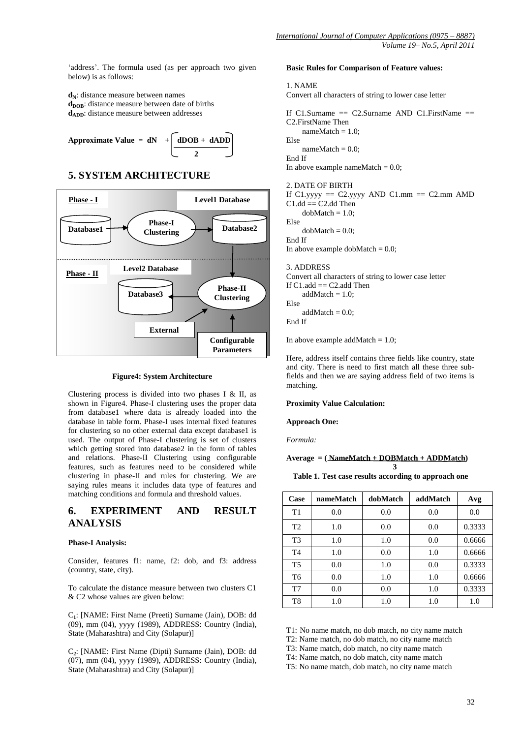'address'. The formula used (as per approach two given below) is as follows:

**dN**: distance measure between names **d**<sub>DOB</sub>: distance measure between date of births **d**<sub>ADD</sub>: distance measure between addresses

Approximate Value = dN 
$$
+ \left[ \frac{dDOB + dADD}{2} \right]
$$

# **5. SYSTEM ARCHITECTURE**



#### **Figure4: System Architecture**

Clustering process is divided into two phases I & II, as shown in Figure4. Phase-I clustering uses the proper data from database1 where data is already loaded into the database in table form. Phase-I uses internal fixed features for clustering so no other external data except database1 is used. The output of Phase-I clustering is set of clusters which getting stored into database2 in the form of tables and relations. Phase-II Clustering using configurable features, such as features need to be considered while clustering in phase-II and rules for clustering. We are saying rules means it includes data type of features and matching conditions and formula and threshold values.

# **6. EXPERIMENT AND RESULT ANALYSIS**

#### **Phase-I Analysis:**

Consider, features f1: name, f2: dob, and f3: address (country, state, city).

To calculate the distance measure between two clusters C1 & C2 whose values are given below:

C**1** : [NAME: First Name (Preeti) Surname (Jain), DOB: dd (09), mm (04), yyyy (1989), ADDRESS: Country (India), State (Maharashtra) and City (Solapur)]

C**2** : [NAME: First Name (Dipti) Surname (Jain), DOB: dd (07), mm (04), yyyy (1989), ADDRESS: Country (India), State (Maharashtra) and City (Solapur)]

#### **Basic Rules for Comparison of Feature values:**

#### 1. NAME

Convert all characters of string to lower case letter

```
If C1.Surname = C2.Surname AND C1.FirstName =C2.FirstName Then 
    nameMatch = 1.0:
Else
    nameMatch = 0.0;End If
In above example nameMatch = 0.0;
2. DATE OF BIRTH
If C1.yyyy == C2.yyyy AND C1.mm == C2.mm AMD
C1.dd == C2.dd Then
```
 $d$ obMatch = 1.0; Else

 $d$ obMatch =  $0.0$ ;

End If

In above example dobMatch  $= 0.0$ ;

#### 3. ADDRESS

Convert all characters of string to lower case letter If  $C1$ .add  $== C2$ .add Then  $addMatch = 1.0;$ Else addMatch  $= 0.0$ ; End If

In above example addMatch  $= 1.0$ ;

Here, address itself contains three fields like country, state and city. There is need to first match all these three subfields and then we are saying address field of two items is matching.

#### **Proximity Value Calculation:**

#### **Approach One:**

*Formula:*

#### **Average = ( NameMatch + DOBMatch + ADDMatch)**

**Table 1. Test case results according to approach one** 

 **3**

| Case           | nameMatch | dobMatch | addMatch | Avg    |
|----------------|-----------|----------|----------|--------|
| T1             | 0.0       | 0.0      | 0.0      | 0.0    |
| T <sub>2</sub> | 1.0       | 0.0      | 0.0      | 0.3333 |
| T <sub>3</sub> | 1.0       | 1.0      | 0.0      | 0.6666 |
| T <sub>4</sub> | 1.0       | 0.0      | 1.0      | 0.6666 |
| T5             | 0.0       | 1.0      | 0.0      | 0.3333 |
| T6             | 0.0       | 1.0      | 1.0      | 0.6666 |
| T7             | 0.0       | 0.0      | 1.0      | 0.3333 |
| T8             | 1.0       | 1.0      | 1.0      | 1.0    |

T1: No name match, no dob match, no city name match

T2: Name match, no dob match, no city name match

T3: Name match, dob match, no city name match

T4: Name match, no dob match, city name match

T5: No name match, dob match, no city name match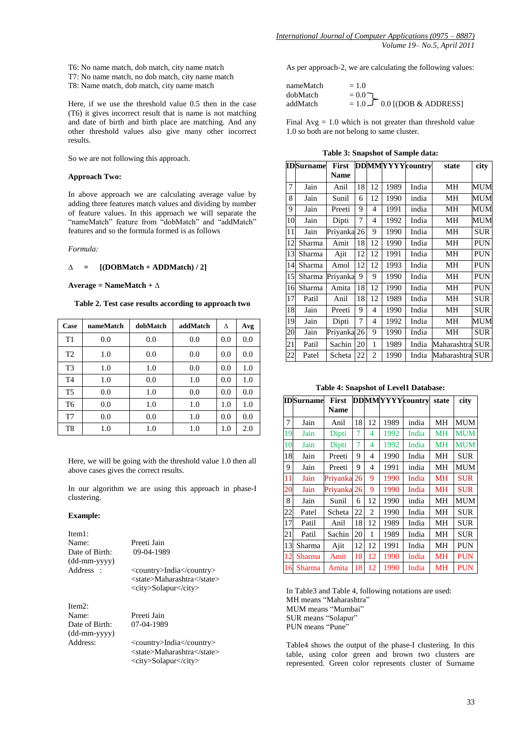T6: No name match, dob match, city name match

- T7: No name match, no dob match, city name match
- T8: Name match, dob match, city name match

Here, if we use the threshold value 0.5 then in the case (T6) it gives incorrect result that is name is not matching and date of birth and birth place are matching. And any other threshold values also give many other incorrect results.

So we are not following this approach.

#### **Approach Two:**

In above approach we are calculating average value by adding three features match values and dividing by number of feature values. In this approach we will separate the "nameMatch" feature from "dobMatch" and "addMatch" features and so the formula formed is as follows

*Formula:*

#### **∆ = [(DOBMatch + ADDMatch) / 2]**

#### **Average = NameMatch + ∆**

#### **Table 2. Test case results according to approach two**

| Case           | nameMatch | dobMatch | addMatch | Δ   | Avg |
|----------------|-----------|----------|----------|-----|-----|
| T1             | 0.0       | 0.0      | 0.0      | 0.0 | 0.0 |
| T <sub>2</sub> | 1.0       | 0.0      | 0.0      | 0.0 | 0.0 |
| T <sub>3</sub> | 1.0       | 1.0      | 0.0      | 0.0 | 1.0 |
| T <sub>4</sub> | 1.0       | 0.0      | 1.0      | 0.0 | 1.0 |
| T <sub>5</sub> | 0.0       | 1.0      | 0.0      | 0.0 | 0.0 |
| T <sub>6</sub> | 0.0       | 1.0      | 1.0      | 1.0 | 1.0 |
| T7             | 0.0       | 0.0      | 1.0      | 0.0 | 0.0 |
| T8             | 1.0       | 1.0      | 1.0      | 1.0 | 2.0 |

Here, we will be going with the threshold value 1.0 then all above cases gives the correct results.

In our algorithm we are using this approach in phase-I clustering.

#### **Example:**

| Item 1:                        |                                                                                |
|--------------------------------|--------------------------------------------------------------------------------|
| Name:                          | Preeti Jain                                                                    |
| Date of Birth:<br>(dd-mm-yyyy) | 09-04-1989                                                                     |
| Address :                      | <country>India</country>                                                       |
|                                | <state>Maharashtra</state>                                                     |
|                                | <city>Solapur</city>                                                           |
| Item2:                         |                                                                                |
| Name:                          | Preeti Jain                                                                    |
| Date of Birth:<br>(dd-mm-yyyy) | 07-04-1989                                                                     |
| Address:                       | <country>India</country><br><state>Maharashtra</state><br><city>Solapur</city> |
|                                |                                                                                |

As per approach-2, we are calculating the following values:

| nameMatch | $= 1.0$                                 |
|-----------|-----------------------------------------|
| dobMatch  | $= 0.0$                                 |
| addMatch  | $= 1.0$ $\sqrt{ }$ 0.0 [(DOB & ADDRESS] |

Final  $Avg = 1.0$  which is not greater than threshold value 1.0 so both are not belong to same cluster.

**Table 3: Snapshot of Sample data:**

| <b>IDSurname</b> |        | First       |    |    |      | <b>DDMMYYYY</b> country | state            | city       |
|------------------|--------|-------------|----|----|------|-------------------------|------------------|------------|
|                  |        | <b>Name</b> |    |    |      |                         |                  |            |
| 7                | Jain   | Anil        | 18 | 12 | 1989 | India                   | MН               | MUM        |
| 8                | Jain   | Sunil       | 6  | 12 | 1990 | india                   | MН               | MUM        |
| 9                | Jain   | Preeti      | 9  | 4  | 1991 | india                   | MН               | MUM        |
| 10               | Jain   | Dipti       | 7  | 4  | 1992 | India                   | MН               | MUM        |
| 11               | Jain   | Priyanka    | 26 | 9  | 1990 | India                   | MН               | SUR        |
| 12               | Sharma | Amit        | 18 | 12 | 1990 | India                   | MН               | <b>PUN</b> |
| 13               | Sharma | Ajit        | 12 | 12 | 1991 | India                   | MН               | PUN        |
| 14               | Sharma | Amol        | 12 | 12 | 1993 | India                   | MН               | <b>PUN</b> |
| 15               | Sharma | Priyanka    | 9  | 9  | 1990 | India                   | MН               | <b>PUN</b> |
| 16               | Sharma | Amita       | 18 | 12 | 1990 | India                   | MН               | <b>PUN</b> |
| 17               | Patil  | Anil        | 18 | 12 | 1989 | India                   | MН               | SUR        |
| 18               | Jain   | Preeti      | 9  | 4  | 1990 | India                   | MН               | <b>SUR</b> |
| 19               | Jain   | Dipti       | 7  | 4  | 1992 | India                   | MН               | MUM        |
| 20               | Jain   | Priyanka 26 |    | 9  | 1990 | India                   | MН               | SUR        |
| 21               | Patil  | Sachin      | 20 | 1  | 1989 | India                   | Maharashtra      | <b>SUR</b> |
| 22               | Patel  | Scheta      | 22 | 2  | 1990 | India                   | Maharashtral SUR |            |

**Table 4: Snapshot of Level1 Database:**

|    | <b>IDSurname</b> | <b>First</b>           |    |                |      | <b>DDMMYYYY</b> country | state     | city       |
|----|------------------|------------------------|----|----------------|------|-------------------------|-----------|------------|
|    |                  | <b>Name</b>            |    |                |      |                         |           |            |
| 7  | Jain             | Anil                   | 18 | 12             | 1989 | india                   | MH        | MUM        |
| 19 | Jain             | Dipti                  | 7  | 4              | 1992 | India                   | <b>MH</b> | <b>MUM</b> |
| 10 | Jain             | Dipti                  | 7  | 4              | 1992 | India                   | <b>MH</b> | <b>MUM</b> |
| 18 | Jain             | Preeti                 | 9  | 4              | 1990 | India                   | MН        | <b>SUR</b> |
| 9  | Jain             | Preeti                 | 9  | 4              | 1991 | india                   | MН        | MUM        |
| 11 | Jain             | Priyanka 26            |    | 9              | 1990 | India                   | <b>MH</b> | <b>SUR</b> |
| 20 | Jain             | Priyanka <sup>26</sup> |    | 9              | 1990 | India                   | <b>MH</b> | <b>SUR</b> |
| 8  | Jain             | Sunil                  | 6  | 12             | 1990 | india                   | MН        | MUM        |
| 22 | Patel            | Scheta                 | 22 | $\overline{c}$ | 1990 | India                   | MН        | <b>SUR</b> |
| 17 | Patil            | Anil                   | 18 | 12             | 1989 | India                   | MН        | <b>SUR</b> |
| 21 | Patil            | Sachin                 | 20 | 1              | 1989 | India                   | MН        | SUR        |
| 13 | Sharma           | Ajit                   | 12 | 12             | 1991 | India                   | MН        | PUN        |
| 12 | Sharma           | Amit                   | 18 | 12             | 1990 | India                   | MH        | <b>PUN</b> |
| 16 | Sharma           | Amita                  | 18 | 12             | 1990 | India                   | MН        | PUN        |

In Table3 and Table 4, following notations are used: MH means "Maharashtra" MUM means "Mumbai" SUR means "Solapur" PUN means "Pune"

Table4 shows the output of the phase-I clustering. In this table, using color green and brown two clusters are represented. Green color represents cluster of Surname